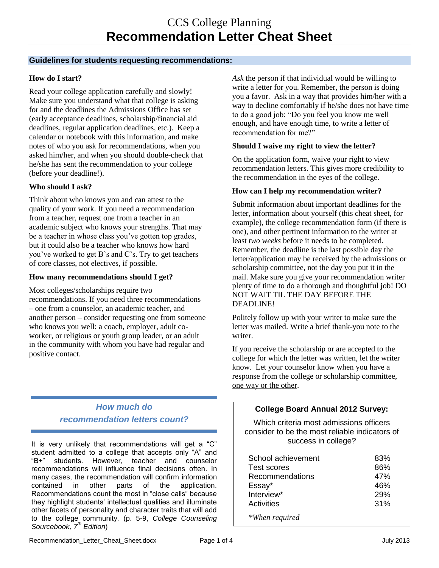### **Guidelines for students requesting recommendations:**

## **How do I start?**

Read your college application carefully and slowly! Make sure you understand what that college is asking for and the deadlines the Admissions Office has set (early acceptance deadlines, scholarship/financial aid deadlines, regular application deadlines, etc.). Keep a calendar or notebook with this information, and make notes of who you ask for recommendations, when you asked him/her, and when you should double-check that he/she has sent the recommendation to your college (before your deadline!).

## **Who should I ask?**

Think about who knows you and can attest to the quality of your work. If you need a recommendation from a teacher, request one from a teacher in an academic subject who knows your strengths. That may be a teacher in whose class you've gotten top grades, but it could also be a teacher who knows how hard you've worked to get B's and C's. Try to get teachers of core classes, not electives, if possible.

### **How many recommendations should I get?**

Most colleges/scholarships require two recommendations. If you need three recommendations – one from a counselor, an academic teacher, and another person – consider requesting one from someone who knows you well: a coach, employer, adult coworker, or religious or youth group leader, or an adult in the community with whom you have had regular and positive contact.

# *How much do recommendation letters count?*

It is very unlikely that recommendations will get a "C" student admitted to a college that accepts only "A" and "B+" students. However, teacher and counselor recommendations will influence final decisions often. In many cases, the recommendation will confirm information contained in other parts of the application. Recommendations count the most in "close calls" because they highlight students' intellectual qualities and illuminate other facets of personality and character traits that will add to the college community. (p. 5-9, *College Counseling Sourcebook, 7th Edition*)

*Ask* the person if that individual would be willing to write a letter for you. Remember, the person is doing you a favor. Ask in a way that provides him/her with a way to decline comfortably if he/she does not have time to do a good job: "Do you feel you know me well enough, and have enough time, to write a letter of recommendation for me?"

### **Should I waive my right to view the letter?**

On the application form, waive your right to view recommendation letters. This gives more credibility to the recommendation in the eyes of the college.

#### **How can I help my recommendation writer?**

Submit information about important deadlines for the letter, information about yourself (this cheat sheet, for example), the college recommendation form (if there is one), and other pertinent information to the writer at least *two weeks* before it needs to be completed. Remember, the deadline is the last possible day the letter/application may be received by the admissions or scholarship committee, not the day you put it in the mail. Make sure you give your recommendation writer plenty of time to do a thorough and thoughtful job! DO NOT WAIT TIL THE DAY BEFORE THE DEADLINE!

Politely follow up with your writer to make sure the letter was mailed. Write a brief thank-you note to the writer.

If you receive the scholarship or are accepted to the college for which the letter was written, let the writer know. Let your counselor know when you have a response from the college or scholarship committee, one way or the other.

## **College Board Annual 2012 Survey:**

Which criteria most admissions officers consider to be the most reliable indicators of success in college?

| School achievement | 83% |
|--------------------|-----|
| Test scores        | 86% |
| Recommendations    | 47% |
| Essay*             | 46% |
| Interview*         | 29% |
| Activities         | 31% |
| *When required     |     |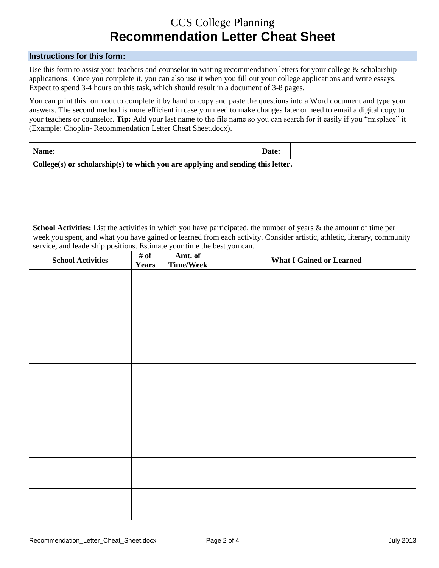# CCS College Planning **Recommendation Letter Cheat Sheet**

#### **Instructions for this form:**

Use this form to assist your teachers and counselor in writing recommendation letters for your college  $\&$  scholarship applications. Once you complete it, you can also use it when you fill out your college applications and write essays. Expect to spend 3-4 hours on this task, which should result in a document of 3-8 pages.

You can print this form out to complete it by hand or copy and paste the questions into a Word document and type your answers. The second method is more efficient in case you need to make changes later or need to email a digital copy to your teachers or counselor. **Tip:** Add your last name to the file name so you can search for it easily if you "misplace" it (Example: Choplin- Recommendation Letter Cheat Sheet.docx).

| Name:                                                                                                                                                                                                                                           |                      |                             | Date:                           |  |  |
|-------------------------------------------------------------------------------------------------------------------------------------------------------------------------------------------------------------------------------------------------|----------------------|-----------------------------|---------------------------------|--|--|
| College(s) or scholarship(s) to which you are applying and sending this letter.                                                                                                                                                                 |                      |                             |                                 |  |  |
|                                                                                                                                                                                                                                                 |                      |                             |                                 |  |  |
|                                                                                                                                                                                                                                                 |                      |                             |                                 |  |  |
|                                                                                                                                                                                                                                                 |                      |                             |                                 |  |  |
|                                                                                                                                                                                                                                                 |                      |                             |                                 |  |  |
|                                                                                                                                                                                                                                                 |                      |                             |                                 |  |  |
| School Activities: List the activities in which you have participated, the number of years & the amount of time per<br>week you spent, and what you have gained or learned from each activity. Consider artistic, athletic, literary, community |                      |                             |                                 |  |  |
| service, and leadership positions. Estimate your time the best you can.                                                                                                                                                                         |                      |                             |                                 |  |  |
| <b>School Activities</b>                                                                                                                                                                                                                        | # of<br><b>Years</b> | Amt. of<br><b>Time/Week</b> | <b>What I Gained or Learned</b> |  |  |
|                                                                                                                                                                                                                                                 |                      |                             |                                 |  |  |
|                                                                                                                                                                                                                                                 |                      |                             |                                 |  |  |
|                                                                                                                                                                                                                                                 |                      |                             |                                 |  |  |
|                                                                                                                                                                                                                                                 |                      |                             |                                 |  |  |
|                                                                                                                                                                                                                                                 |                      |                             |                                 |  |  |
|                                                                                                                                                                                                                                                 |                      |                             |                                 |  |  |
|                                                                                                                                                                                                                                                 |                      |                             |                                 |  |  |
|                                                                                                                                                                                                                                                 |                      |                             |                                 |  |  |
|                                                                                                                                                                                                                                                 |                      |                             |                                 |  |  |
|                                                                                                                                                                                                                                                 |                      |                             |                                 |  |  |
|                                                                                                                                                                                                                                                 |                      |                             |                                 |  |  |
|                                                                                                                                                                                                                                                 |                      |                             |                                 |  |  |
|                                                                                                                                                                                                                                                 |                      |                             |                                 |  |  |
|                                                                                                                                                                                                                                                 |                      |                             |                                 |  |  |
|                                                                                                                                                                                                                                                 |                      |                             |                                 |  |  |
|                                                                                                                                                                                                                                                 |                      |                             |                                 |  |  |
|                                                                                                                                                                                                                                                 |                      |                             |                                 |  |  |
|                                                                                                                                                                                                                                                 |                      |                             |                                 |  |  |
|                                                                                                                                                                                                                                                 |                      |                             |                                 |  |  |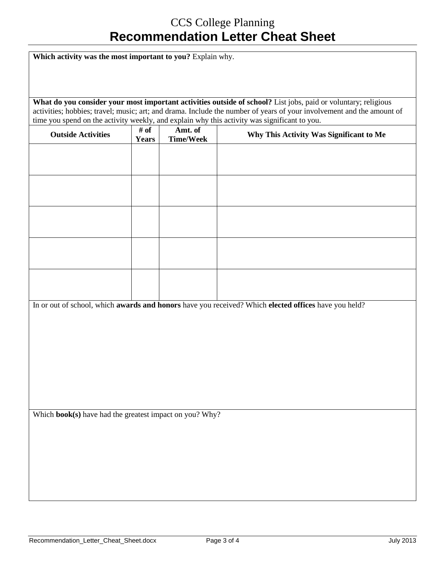# CCS College Planning **Recommendation Letter Cheat Sheet**

Which activity was the most important to you? Explain why. **What do you consider your most important activities outside of school?** List jobs, paid or voluntary; religious activities; hobbies; travel; music; art; and drama. Include the number of years of your involvement and the amount of time you spend on the activity weekly, and explain why this activity was significant to you. **Outside Activities**  $\begin{array}{c} \n\neq \text{ of } \n\end{array}$ **Years Amt. of Why This Activity Was Significant to Me** In or out of school, which **awards and honors** have you received? Which **elected offices** have you held? Which **book(s)** have had the greatest impact on you? Why?